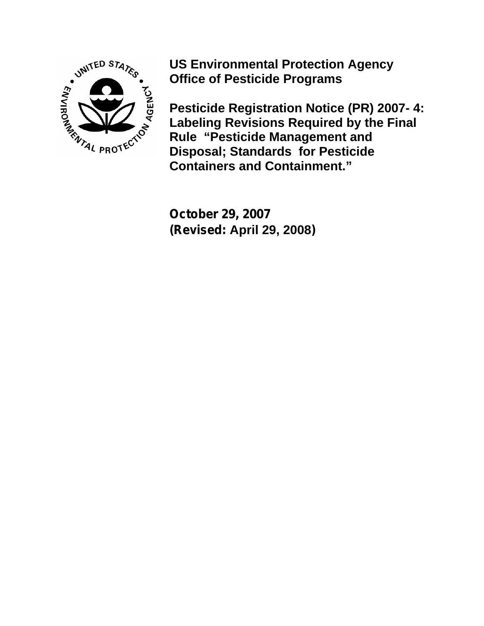

**US Environmental Protection Agency Office of Pesticide Programs** 

**Pesticide Registration Notice (PR) 2007- 4: Labeling Revisions Required by the Final Rule "Pesticide Management and Disposal; Standards for Pesticide Containers and Containment."**

**October 29, 2007 (Revised: April 29, 2008)**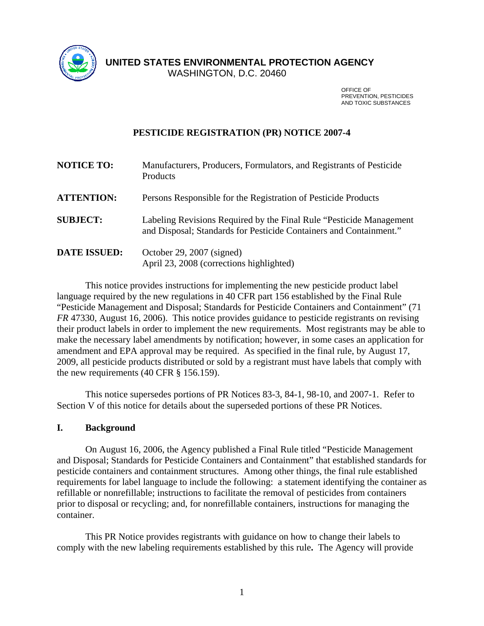

**UNITED STATES ENVIRONMENTAL PROTECTION AGENCY** 

WASHINGTON, D.C. 20460

**OFFICE OF A STRAIGHT CONTROL** PREVENTION, PESTICIDES AND TOXIC SUBSTANCES

# **PESTICIDE REGISTRATION (PR) NOTICE 2007-4**

| <b>NOTICE TO:</b>   | Manufacturers, Producers, Formulators, and Registrants of Pesticide<br>Products                                                            |
|---------------------|--------------------------------------------------------------------------------------------------------------------------------------------|
| <b>ATTENTION:</b>   | Persons Responsible for the Registration of Pesticide Products                                                                             |
| <b>SUBJECT:</b>     | Labeling Revisions Required by the Final Rule "Pesticide Management"<br>and Disposal; Standards for Pesticide Containers and Containment." |
| <b>DATE ISSUED:</b> | October 29, 2007 (signed)<br>April 23, 2008 (corrections highlighted)                                                                      |

This notice provides instructions for implementing the new pesticide product label language required by the new regulations in 40 CFR part 156 established by the Final Rule "Pesticide Management and Disposal; Standards for Pesticide Containers and Containment" (71 *FR* 47330, August 16, 2006). This notice provides guidance to pesticide registrants on revising their product labels in order to implement the new requirements. Most registrants may be able to make the necessary label amendments by notification; however, in some cases an application for amendment and EPA approval may be required. As specified in the final rule, by August 17, 2009, all pesticide products distributed or sold by a registrant must have labels that comply with the new requirements (40 CFR § 156.159).

This notice supersedes portions of PR Notices 83-3, 84-1, 98-10, and 2007-1. Refer to Section V of this notice for details about the superseded portions of these PR Notices.

### **I. Background**

 On August 16, 2006, the Agency published a Final Rule titled "Pesticide Management and Disposal; Standards for Pesticide Containers and Containment" that established standards for pesticide containers and containment structures. Among other things, the final rule established requirements for label language to include the following: a statement identifying the container as refillable or nonrefillable; instructions to facilitate the removal of pesticides from containers prior to disposal or recycling; and, for nonrefillable containers, instructions for managing the container.

This PR Notice provides registrants with guidance on how to change their labels to comply with the new labeling requirements established by this rule**.** The Agency will provide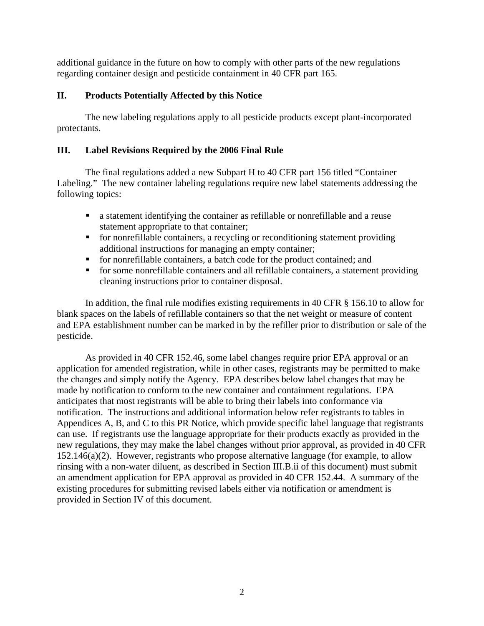additional guidance in the future on how to comply with other parts of the new regulations regarding container design and pesticide containment in 40 CFR part 165.

# **II. Products Potentially Affected by this Notice**

The new labeling regulations apply to all pesticide products except plant-incorporated protectants.

# **III. Label Revisions Required by the 2006 Final Rule**

The final regulations added a new Subpart H to 40 CFR part 156 titled "Container Labeling." The new container labeling regulations require new label statements addressing the following topics:

- a statement identifying the container as refillable or nonrefillable and a reuse statement appropriate to that container;
- for nonrefillable containers, a recycling or reconditioning statement providing additional instructions for managing an empty container;
- for nonrefillable containers, a batch code for the product contained; and
- for some nonrefillable containers and all refillable containers, a statement providing cleaning instructions prior to container disposal.

In addition, the final rule modifies existing requirements in 40 CFR § 156.10 to allow for blank spaces on the labels of refillable containers so that the net weight or measure of content and EPA establishment number can be marked in by the refiller prior to distribution or sale of the pesticide.

 As provided in 40 CFR 152.46, some label changes require prior EPA approval or an application for amended registration, while in other cases, registrants may be permitted to make the changes and simply notify the Agency. EPA describes below label changes that may be made by notification to conform to the new container and containment regulations. EPA anticipates that most registrants will be able to bring their labels into conformance via notification. The instructions and additional information below refer registrants to tables in Appendices A, B, and C to this PR Notice, which provide specific label language that registrants can use. If registrants use the language appropriate for their products exactly as provided in the new regulations, they may make the label changes without prior approval, as provided in 40 CFR 152.146(a)(2). However, registrants who propose alternative language (for example, to allow rinsing with a non-water diluent, as described in Section III.B.ii of this document) must submit an amendment application for EPA approval as provided in 40 CFR 152.44. A summary of the existing procedures for submitting revised labels either via notification or amendment is provided in Section IV of this document.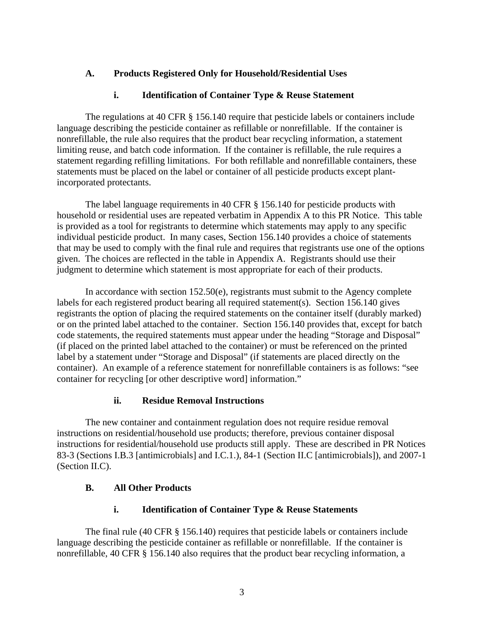# **A. Products Registered Only for Household/Residential Uses**

# **i. Identification of Container Type & Reuse Statement**

The regulations at 40 CFR § 156.140 require that pesticide labels or containers include language describing the pesticide container as refillable or nonrefillable. If the container is nonrefillable, the rule also requires that the product bear recycling information, a statement limiting reuse, and batch code information. If the container is refillable, the rule requires a statement regarding refilling limitations. For both refillable and nonrefillable containers, these statements must be placed on the label or container of all pesticide products except plantincorporated protectants.

The label language requirements in 40 CFR § 156.140 for pesticide products with household or residential uses are repeated verbatim in Appendix A to this PR Notice. This table is provided as a tool for registrants to determine which statements may apply to any specific individual pesticide product. In many cases, Section 156.140 provides a choice of statements that may be used to comply with the final rule and requires that registrants use one of the options given. The choices are reflected in the table in Appendix A. Registrants should use their judgment to determine which statement is most appropriate for each of their products.

In accordance with section  $152.50(e)$ , registrants must submit to the Agency complete labels for each registered product bearing all required statement(s). Section 156.140 gives registrants the option of placing the required statements on the container itself (durably marked) or on the printed label attached to the container. Section 156.140 provides that, except for batch code statements, the required statements must appear under the heading "Storage and Disposal" (if placed on the printed label attached to the container) or must be referenced on the printed label by a statement under "Storage and Disposal" (if statements are placed directly on the container). An example of a reference statement for nonrefillable containers is as follows: "see container for recycling [or other descriptive word] information."

## **ii. Residue Removal Instructions**

The new container and containment regulation does not require residue removal instructions on residential/household use products; therefore, previous container disposal instructions for residential/household use products still apply. These are described in PR Notices 83-3 (Sections I.B.3 [antimicrobials] and I.C.1.), 84-1 (Section II.C [antimicrobials]), and 2007-1 (Section II.C).

## **B. All Other Products**

## **i. Identification of Container Type & Reuse Statements**

 The final rule (40 CFR § 156.140) requires that pesticide labels or containers include language describing the pesticide container as refillable or nonrefillable. If the container is nonrefillable, 40 CFR § 156.140 also requires that the product bear recycling information, a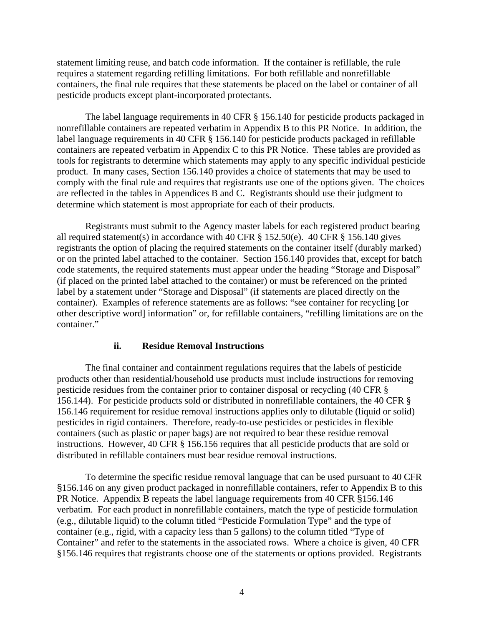statement limiting reuse, and batch code information. If the container is refillable, the rule requires a statement regarding refilling limitations. For both refillable and nonrefillable containers, the final rule requires that these statements be placed on the label or container of all pesticide products except plant-incorporated protectants.

The label language requirements in 40 CFR § 156.140 for pesticide products packaged in nonrefillable containers are repeated verbatim in Appendix B to this PR Notice. In addition, the label language requirements in 40 CFR § 156.140 for pesticide products packaged in refillable containers are repeated verbatim in Appendix C to this PR Notice. These tables are provided as tools for registrants to determine which statements may apply to any specific individual pesticide product. In many cases, Section 156.140 provides a choice of statements that may be used to comply with the final rule and requires that registrants use one of the options given. The choices are reflected in the tables in Appendices B and C. Registrants should use their judgment to determine which statement is most appropriate for each of their products.

Registrants must submit to the Agency master labels for each registered product bearing all required statement(s) in accordance with 40 CFR  $\S$  152.50(e). 40 CFR  $\S$  156.140 gives registrants the option of placing the required statements on the container itself (durably marked) or on the printed label attached to the container. Section 156.140 provides that, except for batch code statements, the required statements must appear under the heading "Storage and Disposal" (if placed on the printed label attached to the container) or must be referenced on the printed label by a statement under "Storage and Disposal" (if statements are placed directly on the container). Examples of reference statements are as follows: "see container for recycling [or other descriptive word] information" or, for refillable containers, "refilling limitations are on the container."

#### **ii. Residue Removal Instructions**

 The final container and containment regulations requires that the labels of pesticide products other than residential/household use products must include instructions for removing pesticide residues from the container prior to container disposal or recycling (40 CFR § 156.144). For pesticide products sold or distributed in nonrefillable containers, the 40 CFR § 156.146 requirement for residue removal instructions applies only to dilutable (liquid or solid) pesticides in rigid containers. Therefore, ready-to-use pesticides or pesticides in flexible containers (such as plastic or paper bags) are not required to bear these residue removal instructions. However, 40 CFR § 156.156 requires that all pesticide products that are sold or distributed in refillable containers must bear residue removal instructions.

To determine the specific residue removal language that can be used pursuant to 40 CFR §156.146 on any given product packaged in nonrefillable containers, refer to Appendix B to this PR Notice. Appendix B repeats the label language requirements from 40 CFR §156.146 verbatim. For each product in nonrefillable containers, match the type of pesticide formulation (e.g., dilutable liquid) to the column titled "Pesticide Formulation Type" and the type of container (e.g., rigid, with a capacity less than 5 gallons) to the column titled "Type of Container" and refer to the statements in the associated rows. Where a choice is given, 40 CFR §156.146 requires that registrants choose one of the statements or options provided. Registrants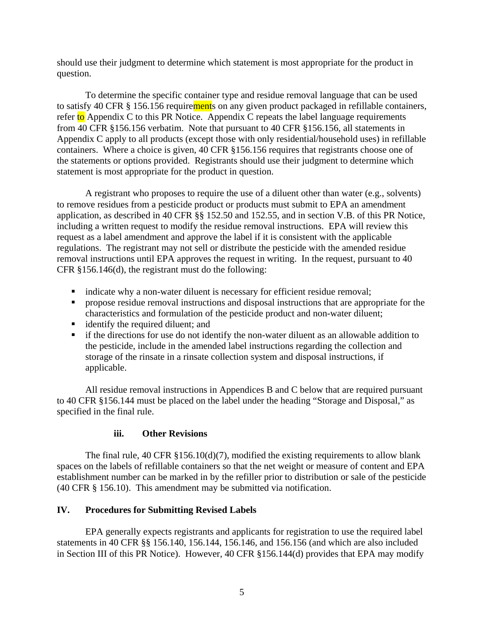should use their judgment to determine which statement is most appropriate for the product in question.

To determine the specific container type and residue removal language that can be used to satisfy 40 CFR § 156.156 requirements on any given product packaged in refillable containers, refer to Appendix C to this PR Notice. Appendix C repeats the label language requirements from 40 CFR §156.156 verbatim. Note that pursuant to 40 CFR §156.156, all statements in Appendix C apply to all products (except those with only residential/household uses) in refillable containers. Where a choice is given, 40 CFR §156.156 requires that registrants choose one of the statements or options provided. Registrants should use their judgment to determine which statement is most appropriate for the product in question.

 A registrant who proposes to require the use of a diluent other than water (e.g., solvents) to remove residues from a pesticide product or products must submit to EPA an amendment application, as described in 40 CFR §§ 152.50 and 152.55, and in section V.B. of this PR Notice, including a written request to modify the residue removal instructions. EPA will review this request as a label amendment and approve the label if it is consistent with the applicable regulations. The registrant may not sell or distribute the pesticide with the amended residue removal instructions until EPA approves the request in writing. In the request, pursuant to 40 CFR §156.146(d), the registrant must do the following:

- indicate why a non-water diluent is necessary for efficient residue removal;
- **•** propose residue removal instructions and disposal instructions that are appropriate for the characteristics and formulation of the pesticide product and non-water diluent;
- identify the required diluent; and
- if the directions for use do not identify the non-water diluent as an allowable addition to the pesticide, include in the amended label instructions regarding the collection and storage of the rinsate in a rinsate collection system and disposal instructions, if applicable.

All residue removal instructions in Appendices B and C below that are required pursuant to 40 CFR §156.144 must be placed on the label under the heading "Storage and Disposal," as specified in the final rule.

### **iii. Other Revisions**

The final rule,  $40 \text{ CFR } \frac{156.10(d)}{7}$ , modified the existing requirements to allow blank spaces on the labels of refillable containers so that the net weight or measure of content and EPA establishment number can be marked in by the refiller prior to distribution or sale of the pesticide (40 CFR § 156.10). This amendment may be submitted via notification.

## **IV. Procedures for Submitting Revised Labels**

EPA generally expects registrants and applicants for registration to use the required label statements in 40 CFR §§ 156.140, 156.144, 156.146, and 156.156 (and which are also included in Section III of this PR Notice). However, 40 CFR §156.144(d) provides that EPA may modify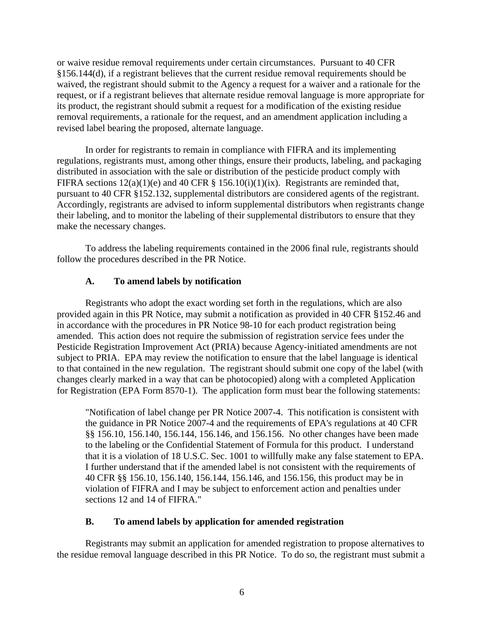or waive residue removal requirements under certain circumstances. Pursuant to 40 CFR §156.144(d), if a registrant believes that the current residue removal requirements should be waived, the registrant should submit to the Agency a request for a waiver and a rationale for the request, or if a registrant believes that alternate residue removal language is more appropriate for its product, the registrant should submit a request for a modification of the existing residue removal requirements, a rationale for the request, and an amendment application including a revised label bearing the proposed, alternate language.

In order for registrants to remain in compliance with FIFRA and its implementing regulations, registrants must, among other things, ensure their products, labeling, and packaging distributed in association with the sale or distribution of the pesticide product comply with FIFRA sections  $12(a)(1)(e)$  and 40 CFR § 156.10(i)(1)(ix). Registrants are reminded that, pursuant to 40 CFR §152.132, supplemental distributors are considered agents of the registrant. Accordingly, registrants are advised to inform supplemental distributors when registrants change their labeling, and to monitor the labeling of their supplemental distributors to ensure that they make the necessary changes.

To address the labeling requirements contained in the 2006 final rule, registrants should follow the procedures described in the PR Notice.

#### **A. To amend labels by notification**

Registrants who adopt the exact wording set forth in the regulations, which are also provided again in this PR Notice, may submit a notification as provided in 40 CFR §152.46 and in accordance with the procedures in PR Notice 98-10 for each product registration being amended. This action does not require the submission of registration service fees under the Pesticide Registration Improvement Act (PRIA) because Agency-initiated amendments are not subject to PRIA. EPA may review the notification to ensure that the label language is identical to that contained in the new regulation. The registrant should submit one copy of the label (with changes clearly marked in a way that can be photocopied) along with a completed Application for Registration (EPA Form 8570-1). The application form must bear the following statements:

"Notification of label change per PR Notice 2007-4. This notification is consistent with the guidance in PR Notice 2007-4 and the requirements of EPA's regulations at 40 CFR §§ 156.10, 156.140, 156.144, 156.146, and 156.156. No other changes have been made to the labeling or the Confidential Statement of Formula for this product. I understand that it is a violation of 18 U.S.C. Sec. 1001 to willfully make any false statement to EPA. I further understand that if the amended label is not consistent with the requirements of 40 CFR §§ 156.10, 156.140, 156.144, 156.146, and 156.156, this product may be in violation of FIFRA and I may be subject to enforcement action and penalties under sections 12 and 14 of FIFRA."

#### **B. To amend labels by application for amended registration**

Registrants may submit an application for amended registration to propose alternatives to the residue removal language described in this PR Notice. To do so, the registrant must submit a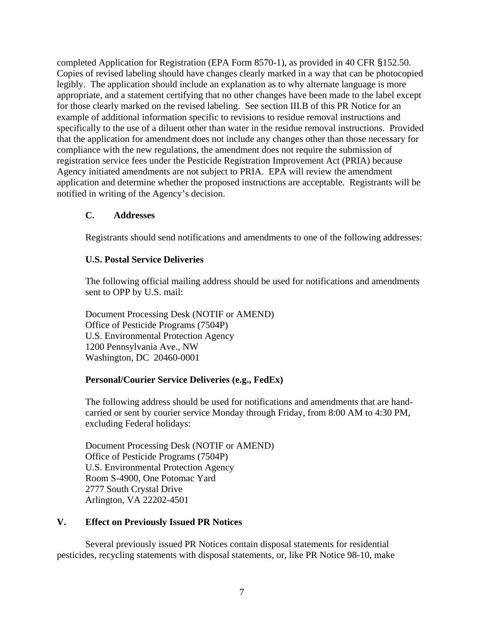completed Application for Registration (EPA Form 8570-1), as provided in 40 CFR §152.50. Copies of revised labeling should have changes clearly marked in a way that can be photocopied legibly. The application should include an explanation as to why alternate language is more appropriate, and a statement certifying that no other changes have been made to the label except for those clearly marked on the revised labeling. See section III.B of this PR Notice for an example of additional information specific to revisions to residue removal instructions and specifically to the use of a diluent other than water in the residue removal instructions. Provided that the application for amendment does not include any changes other than those necessary for compliance with the new regulations, the amendment does not require the submission of registration service fees under the Pesticide Registration Improvement Act (PRIA) because Agency initiated amendments are not subject to PRIA. EPA will review the amendment application and determine whether the proposed instructions are acceptable. Registrants will be notified in writing of the Agency's decision.

### **C. Addresses**

Registrants should send notifications and amendments to one of the following addresses:

#### **U.S. Postal Service Deliveries**

The following official mailing address should be used for notifications and amendments sent to OPP by U.S. mail:

Document Processing Desk (NOTIF or AMEND) Office of Pesticide Programs (7504P) U.S. Environmental Protection Agency 1200 Pennsylvania Ave., NW Washington, DC 20460-0001

### **Personal/Courier Service Deliveries (e.g., FedEx)**

The following address should be used for notifications and amendments that are handcarried or sent by courier service Monday through Friday, from 8:00 AM to 4:30 PM, excluding Federal holidays:

Document Processing Desk (NOTIF or AMEND) Office of Pesticide Programs (7504P) U.S. Environmental Protection Agency Room S-4900, One Potomac Yard 2777 South Crystal Drive Arlington, VA 22202-4501

### **V. Effect on Previously Issued PR Notices**

Several previously issued PR Notices contain disposal statements for residential pesticides, recycling statements with disposal statements, or, like PR Notice 98-10, make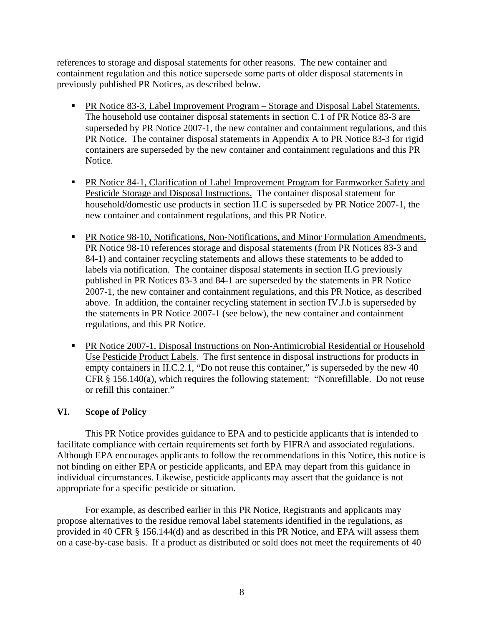references to storage and disposal statements for other reasons. The new container and containment regulation and this notice supersede some parts of older disposal statements in previously published PR Notices, as described below.

- PR Notice 83-3, Label Improvement Program Storage and Disposal Label Statements. The household use container disposal statements in section C.1 of PR Notice 83-3 are superseded by PR Notice 2007-1, the new container and containment regulations, and this PR Notice. The container disposal statements in Appendix A to PR Notice 83-3 for rigid containers are superseded by the new container and containment regulations and this PR Notice.
- **PR Notice 84-1, Clarification of Label Improvement Program for Farmworker Safety and** Pesticide Storage and Disposal Instructions. The container disposal statement for household/domestic use products in section II.C is superseded by PR Notice 2007-1, the new container and containment regulations, and this PR Notice.
- **PR Notice 98-10, Notifications, Non-Notifications, and Minor Formulation Amendments.** PR Notice 98-10 references storage and disposal statements (from PR Notices 83-3 and 84-1) and container recycling statements and allows these statements to be added to labels via notification. The container disposal statements in section II.G previously published in PR Notices 83-3 and 84-1 are superseded by the statements in PR Notice 2007-1, the new container and containment regulations, and this PR Notice, as described above. In addition, the container recycling statement in section IV.J.b is superseded by the statements in PR Notice 2007-1 (see below), the new container and containment regulations, and this PR Notice.
- **PR Notice 2007-1, Disposal Instructions on Non-Antimicrobial Residential or Household** Use Pesticide Product Labels. The first sentence in disposal instructions for products in empty containers in II.C.2.1, "Do not reuse this container," is superseded by the new 40 CFR § 156.140(a), which requires the following statement: "Nonrefillable. Do not reuse or refill this container."

### **VI. Scope of Policy**

This PR Notice provides guidance to EPA and to pesticide applicants that is intended to facilitate compliance with certain requirements set forth by FIFRA and associated regulations. Although EPA encourages applicants to follow the recommendations in this Notice, this notice is not binding on either EPA or pesticide applicants, and EPA may depart from this guidance in individual circumstances. Likewise, pesticide applicants may assert that the guidance is not appropriate for a specific pesticide or situation.

For example, as described earlier in this PR Notice, Registrants and applicants may propose alternatives to the residue removal label statements identified in the regulations, as provided in 40 CFR § 156.144(d) and as described in this PR Notice, and EPA will assess them on a case-by-case basis. If a product as distributed or sold does not meet the requirements of 40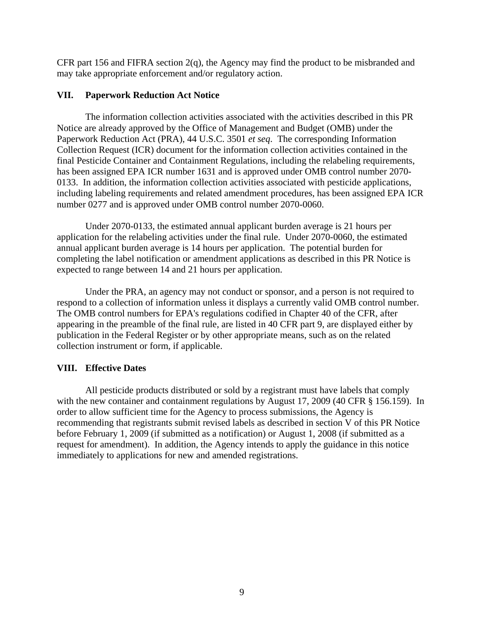CFR part 156 and FIFRA section  $2(q)$ , the Agency may find the product to be misbranded and may take appropriate enforcement and/or regulatory action.

### **VII. Paperwork Reduction Act Notice**

The information collection activities associated with the activities described in this PR Notice are already approved by the Office of Management and Budget (OMB) under the Paperwork Reduction Act (PRA), 44 U.S.C. 3501 *et seq*. The corresponding Information Collection Request (ICR) document for the information collection activities contained in the final Pesticide Container and Containment Regulations, including the relabeling requirements, has been assigned EPA ICR number 1631 and is approved under OMB control number 2070- 0133. In addition, the information collection activities associated with pesticide applications, including labeling requirements and related amendment procedures, has been assigned EPA ICR number 0277 and is approved under OMB control number 2070-0060.

Under 2070-0133, the estimated annual applicant burden average is 21 hours per application for the relabeling activities under the final rule. Under 2070-0060, the estimated annual applicant burden average is 14 hours per application. The potential burden for completing the label notification or amendment applications as described in this PR Notice is expected to range between 14 and 21 hours per application.

Under the PRA, an agency may not conduct or sponsor, and a person is not required to respond to a collection of information unless it displays a currently valid OMB control number. The OMB control numbers for EPA's regulations codified in Chapter 40 of the CFR, after appearing in the preamble of the final rule, are listed in 40 CFR part 9, are displayed either by publication in the Federal Register or by other appropriate means, such as on the related collection instrument or form, if applicable.

## **VIII. Effective Dates**

All pesticide products distributed or sold by a registrant must have labels that comply with the new container and containment regulations by August 17, 2009 (40 CFR § 156.159). In order to allow sufficient time for the Agency to process submissions, the Agency is recommending that registrants submit revised labels as described in section V of this PR Notice before February 1, 2009 (if submitted as a notification) or August 1, 2008 (if submitted as a request for amendment). In addition, the Agency intends to apply the guidance in this notice immediately to applications for new and amended registrations.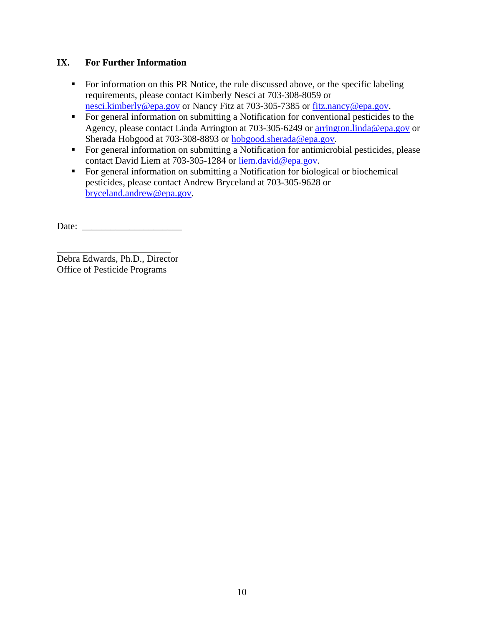# **IX. For Further Information**

- For information on this PR Notice, the rule discussed above, or the specific labeling requirements, please contact Kimberly Nesci at 703-308-8059 or [nesci.kimberly@epa.gov](mailto:nesci.kimberly@epa.gov) or Nancy Fitz at 703-305-7385 or [fitz.nancy@epa.gov.](mailto:fitz.nancy@epa.gov)
- For general information on submitting a Notification for conventional pesticides to the Agency, please contact Linda Arrington at 703-305-6249 or [arrington.linda@epa.gov](mailto:arrington.linda@epa.gov) or Sherada Hobgood at 703-308-8893 or [hobgood.sherada@epa.gov](mailto:hobgood.sherada@epa.gov).
- For general information on submitting a Notification for antimicrobial pesticides, please contact David Liem at 703-305-1284 or [liem.david@epa.gov.](mailto:liem.david@epa.gov)
- For general information on submitting a Notification for biological or biochemical pesticides, please contact Andrew Bryceland at 703-305-9628 or [bryceland.andrew@epa.gov](mailto:bryceland.andrew@epa.gov).

Date: \_\_\_\_\_\_\_\_\_\_\_\_\_\_\_\_\_\_\_\_\_

 $\overline{a}$ Debra Edwards, Ph.D., Director Office of Pesticide Programs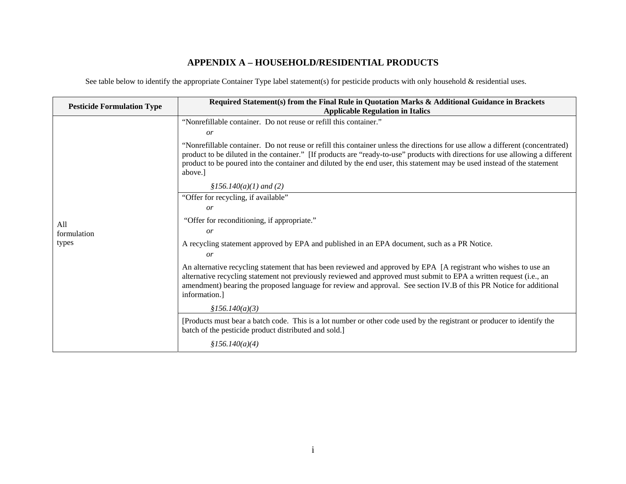## **APPENDIX A – HOUSEHOLD/RESIDENTIAL PRODUCTS**

See table below to identify the appropriate Container Type label statement(s) for pesticide products with only household & residential uses.

| <b>Pesticide Formulation Type</b> | Required Statement(s) from the Final Rule in Quotation Marks & Additional Guidance in Brackets<br><b>Applicable Regulation in Italics</b>                                                                                                                                                                                                                                                              |
|-----------------------------------|--------------------------------------------------------------------------------------------------------------------------------------------------------------------------------------------------------------------------------------------------------------------------------------------------------------------------------------------------------------------------------------------------------|
|                                   | "Nonrefillable container. Do not reuse or refill this container."<br>or                                                                                                                                                                                                                                                                                                                                |
|                                   | "Nonrefillable container. Do not reuse or refill this container unless the directions for use allow a different (concentrated)<br>product to be diluted in the container." [If products are "ready-to-use" products with directions for use allowing a different<br>product to be poured into the container and diluted by the end user, this statement may be used instead of the statement<br>above. |
|                                   | $$156.140(a)(1)$ and (2)                                                                                                                                                                                                                                                                                                                                                                               |
|                                   | "Offer for recycling, if available"                                                                                                                                                                                                                                                                                                                                                                    |
|                                   | or                                                                                                                                                                                                                                                                                                                                                                                                     |
| All                               | "Offer for reconditioning, if appropriate."                                                                                                                                                                                                                                                                                                                                                            |
| formulation                       | or                                                                                                                                                                                                                                                                                                                                                                                                     |
| types                             | A recycling statement approved by EPA and published in an EPA document, such as a PR Notice.                                                                                                                                                                                                                                                                                                           |
|                                   | or                                                                                                                                                                                                                                                                                                                                                                                                     |
|                                   | An alternative recycling statement that has been reviewed and approved by EPA [A registrant who wishes to use an<br>alternative recycling statement not previously reviewed and approved must submit to EPA a written request (i.e., an<br>amendment) bearing the proposed language for review and approval. See section IV.B of this PR Notice for additional<br>information.]                        |
|                                   | \$156.140(a)(3)                                                                                                                                                                                                                                                                                                                                                                                        |
|                                   | [Products must bear a batch code. This is a lot number or other code used by the registrant or producer to identify the<br>batch of the pesticide product distributed and sold.]                                                                                                                                                                                                                       |
|                                   | \$156.140(a)(4)                                                                                                                                                                                                                                                                                                                                                                                        |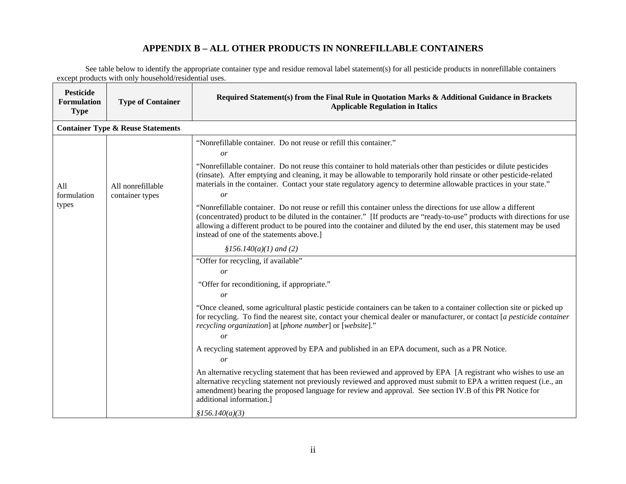# **APPENDIX B – ALL OTHER PRODUCTS IN NONREFILLABLE CONTAINERS**

See table below to identify the appropriate container type and residue removal label statement(s) for all pesticide products in nonrefillable containers except products with only household/residential uses.

| <b>Pesticide</b><br><b>Formulation</b><br><b>Type</b> | <b>Type of Container</b>                     | Required Statement(s) from the Final Rule in Quotation Marks & Additional Guidance in Brackets<br><b>Applicable Regulation in Italics</b>                                                                                                                                                                                                                                                                       |
|-------------------------------------------------------|----------------------------------------------|-----------------------------------------------------------------------------------------------------------------------------------------------------------------------------------------------------------------------------------------------------------------------------------------------------------------------------------------------------------------------------------------------------------------|
|                                                       | <b>Container Type &amp; Reuse Statements</b> |                                                                                                                                                                                                                                                                                                                                                                                                                 |
| All<br>formulation<br>types                           | All nonrefillable<br>container types         | "Nonrefillable container. Do not reuse or refill this container."<br>or                                                                                                                                                                                                                                                                                                                                         |
|                                                       |                                              | "Nonrefillable container. Do not reuse this container to hold materials other than pesticides or dilute pesticides<br>(rinsate). After emptying and cleaning, it may be allowable to temporarily hold rinsate or other pesticide-related<br>materials in the container. Contact your state regulatory agency to determine allowable practices in your state."<br>or                                             |
|                                                       |                                              | "Nonrefillable container. Do not reuse or refill this container unless the directions for use allow a different<br>(concentrated) product to be diluted in the container." [If products are "ready-to-use" products with directions for use<br>allowing a different product to be poured into the container and diluted by the end user, this statement may be used<br>instead of one of the statements above.] |
|                                                       |                                              | $$156.140(a)(1)$ and (2)                                                                                                                                                                                                                                                                                                                                                                                        |
|                                                       |                                              | "Offer for recycling, if available"                                                                                                                                                                                                                                                                                                                                                                             |
|                                                       |                                              | or                                                                                                                                                                                                                                                                                                                                                                                                              |
|                                                       |                                              | "Offer for reconditioning, if appropriate."                                                                                                                                                                                                                                                                                                                                                                     |
|                                                       |                                              | or                                                                                                                                                                                                                                                                                                                                                                                                              |
|                                                       |                                              | "Once cleaned, some agricultural plastic pesticide containers can be taken to a container collection site or picked up<br>for recycling. To find the nearest site, contact your chemical dealer or manufacturer, or contact [a pesticide container<br>recycling organization] at [phone number] or [website]."                                                                                                  |
|                                                       |                                              | or                                                                                                                                                                                                                                                                                                                                                                                                              |
|                                                       |                                              | A recycling statement approved by EPA and published in an EPA document, such as a PR Notice.<br><i>or</i>                                                                                                                                                                                                                                                                                                       |
|                                                       |                                              | An alternative recycling statement that has been reviewed and approved by EPA [A registrant who wishes to use an<br>alternative recycling statement not previously reviewed and approved must submit to EPA a written request (i.e., an<br>amendment) bearing the proposed language for review and approval. See section IV.B of this PR Notice for<br>additional information.]                                 |
|                                                       |                                              | \$156.140(a)(3)                                                                                                                                                                                                                                                                                                                                                                                                 |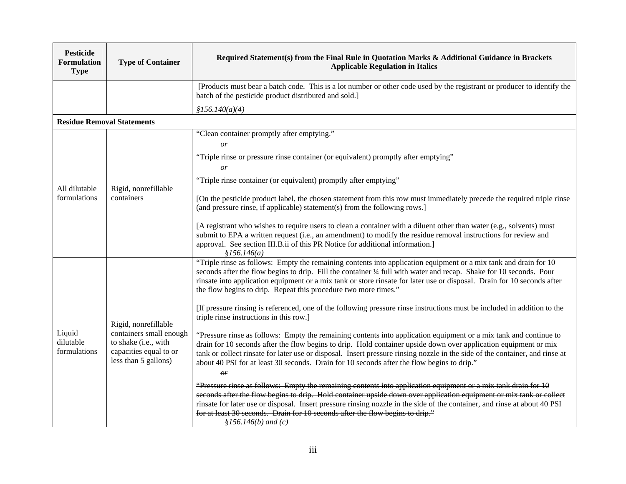| <b>Pesticide</b><br><b>Formulation</b><br><b>Type</b> | <b>Type of Container</b>                                                                                                  | Required Statement(s) from the Final Rule in Quotation Marks & Additional Guidance in Brackets<br><b>Applicable Regulation in Italics</b>                                                                                                                                                                                                                                                                                                                           |
|-------------------------------------------------------|---------------------------------------------------------------------------------------------------------------------------|---------------------------------------------------------------------------------------------------------------------------------------------------------------------------------------------------------------------------------------------------------------------------------------------------------------------------------------------------------------------------------------------------------------------------------------------------------------------|
|                                                       |                                                                                                                           | [Products must bear a batch code. This is a lot number or other code used by the registrant or producer to identify the<br>batch of the pesticide product distributed and sold.]                                                                                                                                                                                                                                                                                    |
|                                                       |                                                                                                                           | \$156.140(a)(4)                                                                                                                                                                                                                                                                                                                                                                                                                                                     |
| <b>Residue Removal Statements</b>                     |                                                                                                                           |                                                                                                                                                                                                                                                                                                                                                                                                                                                                     |
| All dilutable<br>formulations                         | Rigid, nonrefillable<br>containers                                                                                        | "Clean container promptly after emptying."<br><sub>or</sub>                                                                                                                                                                                                                                                                                                                                                                                                         |
|                                                       |                                                                                                                           | "Triple rinse or pressure rinse container (or equivalent) promptly after emptying"<br>or                                                                                                                                                                                                                                                                                                                                                                            |
|                                                       |                                                                                                                           | "Triple rinse container (or equivalent) promptly after emptying"                                                                                                                                                                                                                                                                                                                                                                                                    |
|                                                       |                                                                                                                           | [On the pesticide product label, the chosen statement from this row must immediately precede the required triple rinse<br>(and pressure rinse, if applicable) statement(s) from the following rows.]                                                                                                                                                                                                                                                                |
|                                                       |                                                                                                                           | [A registrant who wishes to require users to clean a container with a diluent other than water (e.g., solvents) must<br>submit to EPA a written request (i.e., an amendment) to modify the residue removal instructions for review and<br>approval. See section III.B.ii of this PR Notice for additional information.]<br>\$156.146(a)                                                                                                                             |
| Liquid<br>dilutable<br>formulations                   | Rigid, nonrefillable<br>containers small enough<br>to shake (i.e., with<br>capacities equal to or<br>less than 5 gallons) | "Triple rinse as follows: Empty the remaining contents into application equipment or a mix tank and drain for 10<br>seconds after the flow begins to drip. Fill the container 1/4 full with water and recap. Shake for 10 seconds. Pour<br>rinsate into application equipment or a mix tank or store rinsate for later use or disposal. Drain for 10 seconds after<br>the flow begins to drip. Repeat this procedure two more times."                               |
|                                                       |                                                                                                                           | [If pressure rinsing is referenced, one of the following pressure rinse instructions must be included in addition to the<br>triple rinse instructions in this row.]                                                                                                                                                                                                                                                                                                 |
|                                                       |                                                                                                                           | "Pressure rinse as follows: Empty the remaining contents into application equipment or a mix tank and continue to<br>drain for 10 seconds after the flow begins to drip. Hold container upside down over application equipment or mix<br>tank or collect rinsate for later use or disposal. Insert pressure rinsing nozzle in the side of the container, and rinse at<br>about 40 PSI for at least 30 seconds. Drain for 10 seconds after the flow begins to drip." |
|                                                       |                                                                                                                           | $\theta$ r                                                                                                                                                                                                                                                                                                                                                                                                                                                          |
|                                                       |                                                                                                                           | "Pressure rinse as follows: Empty the remaining contents into application equipment or a mix tank drain for 10<br>seconds after the flow begins to drip. Hold container upside down over application equipment or mix tank or collect<br>rinsate for later use or disposal. Insert pressure rinsing nozzle in the side of the container, and rinse at about 40 PSI<br>for at least 30 seconds. Drain for 10 seconds after the flow begins to drip."                 |
|                                                       |                                                                                                                           | $$156.146(b)$ and (c)                                                                                                                                                                                                                                                                                                                                                                                                                                               |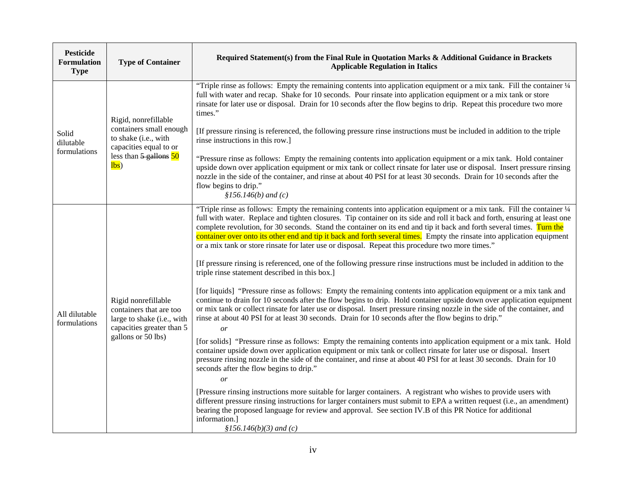| <b>Pesticide</b><br><b>Formulation</b><br><b>Type</b> | <b>Type of Container</b>                                                                                                                              | Required Statement(s) from the Final Rule in Quotation Marks & Additional Guidance in Brackets<br><b>Applicable Regulation in Italics</b>                                                                                                                                                                                                                                                                                                                                                                                                                                                                                                                                                                                                                                                                                                                                                                                                                                                                                                                                                                                                                                                                                                                                                                                                                                                                      |
|-------------------------------------------------------|-------------------------------------------------------------------------------------------------------------------------------------------------------|----------------------------------------------------------------------------------------------------------------------------------------------------------------------------------------------------------------------------------------------------------------------------------------------------------------------------------------------------------------------------------------------------------------------------------------------------------------------------------------------------------------------------------------------------------------------------------------------------------------------------------------------------------------------------------------------------------------------------------------------------------------------------------------------------------------------------------------------------------------------------------------------------------------------------------------------------------------------------------------------------------------------------------------------------------------------------------------------------------------------------------------------------------------------------------------------------------------------------------------------------------------------------------------------------------------------------------------------------------------------------------------------------------------|
| Solid<br>dilutable<br>formulations                    | Rigid, nonrefillable<br>containers small enough<br>to shake (i.e., with<br>capacities equal to or<br>less than $\frac{5 \text{ gallons}}{50}$<br>lbs) | "Triple rinse as follows: Empty the remaining contents into application equipment or a mix tank. Fill the container 1/4<br>full with water and recap. Shake for 10 seconds. Pour rinsate into application equipment or a mix tank or store<br>rinsate for later use or disposal. Drain for 10 seconds after the flow begins to drip. Repeat this procedure two more<br>times."                                                                                                                                                                                                                                                                                                                                                                                                                                                                                                                                                                                                                                                                                                                                                                                                                                                                                                                                                                                                                                 |
|                                                       |                                                                                                                                                       | [If pressure rinsing is referenced, the following pressure rinse instructions must be included in addition to the triple<br>rinse instructions in this row.]                                                                                                                                                                                                                                                                                                                                                                                                                                                                                                                                                                                                                                                                                                                                                                                                                                                                                                                                                                                                                                                                                                                                                                                                                                                   |
|                                                       |                                                                                                                                                       | "Pressure rinse as follows: Empty the remaining contents into application equipment or a mix tank. Hold container<br>upside down over application equipment or mix tank or collect rinsate for later use or disposal. Insert pressure rinsing<br>nozzle in the side of the container, and rinse at about 40 PSI for at least 30 seconds. Drain for 10 seconds after the<br>flow begins to drip."<br>$$156.146(b)$ and (c)                                                                                                                                                                                                                                                                                                                                                                                                                                                                                                                                                                                                                                                                                                                                                                                                                                                                                                                                                                                      |
| All dilutable<br>formulations                         | Rigid nonrefillable<br>containers that are too<br>large to shake (i.e., with<br>capacities greater than 5<br>gallons or 50 lbs)                       | "Triple rinse as follows: Empty the remaining contents into application equipment or a mix tank. Fill the container 1/4<br>full with water. Replace and tighten closures. Tip container on its side and roll it back and forth, ensuring at least one<br>complete revolution, for 30 seconds. Stand the container on its end and tip it back and forth several times. Turn the<br>container over onto its other end and tip it back and forth several times. Empty the rinsate into application equipment<br>or a mix tank or store rinsate for later use or disposal. Repeat this procedure two more times."<br>[If pressure rinsing is referenced, one of the following pressure rinse instructions must be included in addition to the<br>triple rinse statement described in this box.]<br>[for liquids] "Pressure rinse as follows: Empty the remaining contents into application equipment or a mix tank and<br>continue to drain for 10 seconds after the flow begins to drip. Hold container upside down over application equipment<br>or mix tank or collect rinsate for later use or disposal. Insert pressure rinsing nozzle in the side of the container, and<br>rinse at about 40 PSI for at least 30 seconds. Drain for 10 seconds after the flow begins to drip."<br>or<br>[for solids] "Pressure rinse as follows: Empty the remaining contents into application equipment or a mix tank. Hold |
|                                                       |                                                                                                                                                       | container upside down over application equipment or mix tank or collect rinsate for later use or disposal. Insert<br>pressure rinsing nozzle in the side of the container, and rinse at about 40 PSI for at least 30 seconds. Drain for 10<br>seconds after the flow begins to drip."<br>or                                                                                                                                                                                                                                                                                                                                                                                                                                                                                                                                                                                                                                                                                                                                                                                                                                                                                                                                                                                                                                                                                                                    |
|                                                       |                                                                                                                                                       | [Pressure rinsing instructions more suitable for larger containers. A registrant who wishes to provide users with<br>different pressure rinsing instructions for larger containers must submit to EPA a written request (i.e., an amendment)<br>bearing the proposed language for review and approval. See section IV.B of this PR Notice for additional<br>information.]<br>$$156.146(b)(3)$ and (c)                                                                                                                                                                                                                                                                                                                                                                                                                                                                                                                                                                                                                                                                                                                                                                                                                                                                                                                                                                                                          |